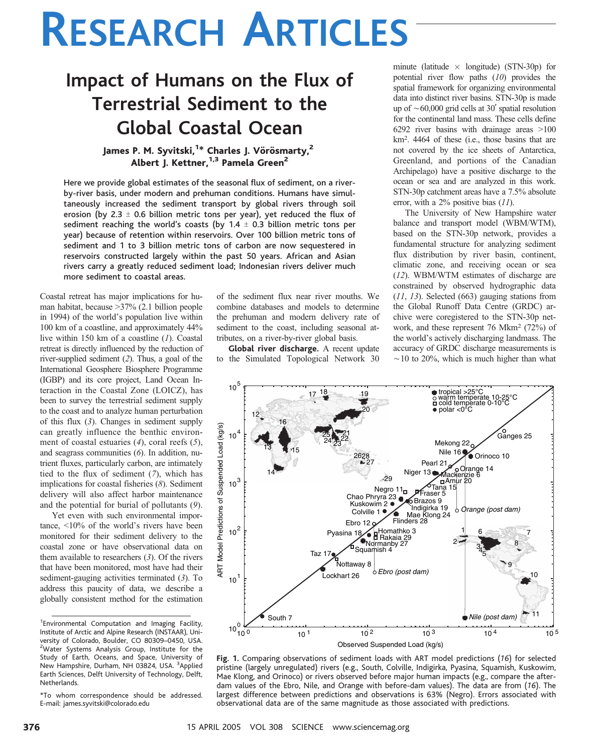# RESEARCH ARTICLES

## Impact of Humans on the Flux of Terrestrial Sediment to the Global Coastal Ocean

### James P. M. Syvitski,<sup>1\*</sup> Charles J. Vörösmarty,<sup>2</sup> Albert J. Kettner,<sup>1,3</sup> Pamela Green<sup>2</sup>

Here we provide global estimates of the seasonal flux of sediment, on a riverby-river basis, under modern and prehuman conditions. Humans have simultaneously increased the sediment transport by global rivers through soil erosion (by 2.3  $\pm$  0.6 billion metric tons per year), yet reduced the flux of sediment reaching the world's coasts (by  $1.4 \pm 0.3$  billion metric tons per year) because of retention within reservoirs. Over 100 billion metric tons of sediment and 1 to 3 billion metric tons of carbon are now sequestered in reservoirs constructed largely within the past 50 years. African and Asian rivers carry a greatly reduced sediment load; Indonesian rivers deliver much more sediment to coastal areas.

Coastal retreat has major implications for human habitat, because  $>37\%$  (2.1 billion people in 1994) of the world's population live within 100 km of a coastline, and approximately 44% live within 150 km of a coastline (1). Coastal retreat is directly influenced by the reduction of river-supplied sediment (2). Thus, a goal of the International Geosphere Biosphere Programme (IGBP) and its core project, Land Ocean Interaction in the Coastal Zone (LOICZ), has been to survey the terrestrial sediment supply to the coast and to analyze human perturbation of this flux  $(3)$ . Changes in sediment supply can greatly influence the benthic environment of coastal estuaries (4), coral reefs (5), and seagrass communities (6). In addition, nutrient fluxes, particularly carbon, are intimately tied to the flux of sediment (7), which has implications for coastal fisheries (8). Sediment delivery will also affect harbor maintenance and the potential for burial of pollutants (9).

Yet even with such environmental importance,  $\leq 10\%$  of the world's rivers have been monitored for their sediment delivery to the coastal zone or have observational data on them available to researchers  $(3)$ . Of the rivers that have been monitored, most have had their sediment-gauging activities terminated (3). To address this paucity of data, we describe a globally consistent method for the estimation

of the sediment flux near river mouths. We combine databases and models to determine the prehuman and modern delivery rate of sediment to the coast, including seasonal attributes, on a river-by-river global basis.

Global river discharge. A recent update to the Simulated Topological Network 30

minute (latitude  $\times$  longitude) (STN-30p) for potential river flow paths (10) provides the spatial framework for organizing environmental data into distinct river basins. STN-30p is made up of  $\sim$  60,000 grid cells at 30 $'$  spatial resolution for the continental land mass. These cells define 6292 river basins with drainage areas  $>100$ km<sup>2</sup>. 4464 of these (i.e., those basins that are not covered by the ice sheets of Antarctica, Greenland, and portions of the Canadian Archipelago) have a positive discharge to the ocean or sea and are analyzed in this work. STN-30p catchment areas have a 7.5% absolute error, with a 2% positive bias (11).

The University of New Hampshire water balance and transport model (WBM/WTM), based on the STN-30p network, provides a fundamental structure for analyzing sediment flux distribution by river basin, continent, climatic zone, and receiving ocean or sea (12). WBM/WTM estimates of discharge are constrained by observed hydrographic data (11, 13). Selected (663) gauging stations from the Global Runoff Data Centre (GRDC) archive were coregistered to the STN-30p network, and these represent 76 Mkm2 (72%) of the world's actively discharging landmass. The accuracy of GRDC discharge measurements is  $\sim$ 10 to 20%, which is much higher than what



Fig. 1. Comparing observations of sediment loads with ART model predictions (16) for selected pristine (largely unregulated) rivers (e.g., South, Colville, Indigirka, Pyasina, Squamish, Kuskowim,

Mae Klong, and Orinoco) or rivers observed before major human impacts (e.g., compare the afterdam values of the Ebro, Nile, and Orange with before-dam values). The data are from (16). The largest difference between predictions and observations is 63% (Negro). Errors associated with observational data are of the same magnitude as those associated with predictions.

<sup>&</sup>lt;sup>1</sup> Environmental Computation and Imaging Facility, Institute of Arctic and Alpine Research (INSTAAR), University of Colorado, Boulder, CO 80309–0450, USA. <sup>2</sup>Water Systems Analysis Group, Institute for the Study of Earth, Oceans, and Space, University of New Hampshire, Durham, NH 03824, USA. <sup>3</sup>Applied Earth Sciences, Delft University of Technology, Delft, Netherlands.

<sup>\*</sup>To whom correspondence should be addressed. E-mail: james.syvitski@colorado.edu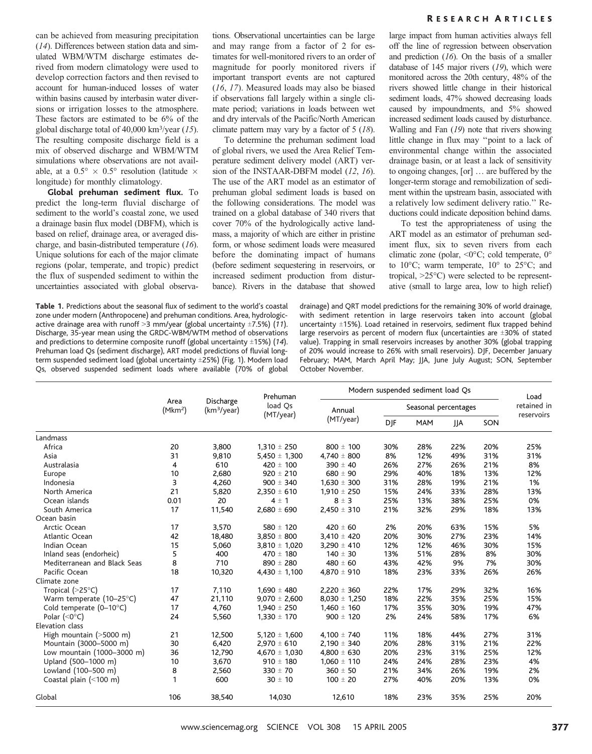can be achieved from measuring precipitation (14). Differences between station data and simulated WBM/WTM discharge estimates derived from modern climatology were used to develop correction factors and then revised to account for human-induced losses of water within basins caused by interbasin water diversions or irrigation losses to the atmosphere. These factors are estimated to be 6% of the global discharge total of 40,000 km<sup>3</sup>/year (15). The resulting composite discharge field is a mix of observed discharge and WBM/WTM simulations where observations are not available, at a  $0.5^{\circ} \times 0.5^{\circ}$  resolution (latitude  $\times$ longitude) for monthly climatology.

Global prehuman sediment flux. To predict the long-term fluvial discharge of sediment to the world's coastal zone, we used a drainage basin flux model (DBFM), which is based on relief, drainage area, or averaged discharge, and basin-distributed temperature (16). Unique solutions for each of the major climate regions (polar, temperate, and tropic) predict the flux of suspended sediment to within the uncertainties associated with global observa-

Table 1. Predictions about the seasonal flux of sediment to the world's coastal zone under modern (Anthropocene) and prehuman conditions. Area, hydrologicactive drainage area with runoff > 3 mm/year (global uncertainty  $\pm$ 7.5%) (11). Discharge, 35-year mean using the GRDC-WBM/WTM method of observations and predictions to determine composite runoff (global uncertainty  $\pm$ 15%) (14). Prehuman load Qs (sediment discharge), ART model predictions of fluvial longterm suspended sediment load (global uncertainty ±25%) (Fig. 1). Modern load Qs, observed suspended sediment loads where available (70% of global

tions. Observational uncertainties can be large and may range from a factor of 2 for estimates for well-monitored rivers to an order of magnitude for poorly monitored rivers if important transport events are not captured (16, 17). Measured loads may also be biased if observations fall largely within a single climate period; variations in loads between wet and dry intervals of the Pacific/North American climate pattern may vary by a factor of 5 (18).

To determine the prehuman sediment load of global rivers, we used the Area Relief Temperature sediment delivery model (ART) version of the INSTAAR-DBFM model (12, 16). The use of the ART model as an estimator of prehuman global sediment loads is based on the following considerations. The model was trained on a global database of 340 rivers that cover 70% of the hydrologically active landmass, a majority of which are either in pristine form, or whose sediment loads were measured before the dominating impact of humans (before sediment sequestering in reservoirs, or increased sediment production from disturbance). Rivers in the database that showed

#### R ESEARCH A RTICLES

large impact from human activities always fell off the line of regression between observation and prediction (16). On the basis of a smaller database of 145 major rivers (19), which were monitored across the 20th century, 48% of the rivers showed little change in their historical sediment loads, 47% showed decreasing loads caused by impoundments, and 5% showed increased sediment loads caused by disturbance. Walling and Fan (19) note that rivers showing little change in flux may ''point to a lack of environmental change within the associated drainage basin, or at least a lack of sensitivity to ongoing changes, [or] ... are buffered by the longer-term storage and remobilization of sediment within the upstream basin, associated with a relatively low sediment delivery ratio.'' Reductions could indicate deposition behind dams.

To test the appropriateness of using the ART model as an estimator of prehuman sediment flux, six to seven rivers from each climatic zone (polar,  $\leq 0^\circ \text{C}$ ; cold temperate,  $0^\circ$ to 10 $^{\circ}$ C; warm temperate, 10 $^{\circ}$  to 25 $^{\circ}$ C; and tropical,  $>25^{\circ}$ C) were selected to be representative (small to large area, low to high relief)

drainage) and QRT model predictions for the remaining 30% of world drainage, with sediment retention in large reservoirs taken into account (global uncertainty  $\pm$ 15%). Load retained in reservoirs, sediment flux trapped behind large reservoirs as percent of modern flux (uncertainties are  $\pm 30\%$  of stated value). Trapping in small reservoirs increases by another 30% (global trapping of 20% would increase to 26% with small reservoirs). DJF, December January February; MAM, March April May; JJA, June July August; SON, September October November.

|                                   | Area<br>(Mkm <sup>2</sup> ) | Discharge<br>(km <sup>3</sup> /year) | Prehuman<br>load Os<br>(MT/year) | Modern suspended sediment load Qs |                      |     |            |     | Load        |
|-----------------------------------|-----------------------------|--------------------------------------|----------------------------------|-----------------------------------|----------------------|-----|------------|-----|-------------|
|                                   |                             |                                      |                                  | Annual<br>(MT/year)               | Seasonal percentages |     |            |     | retained in |
|                                   |                             |                                      |                                  |                                   | DIF                  | MAM | <b>JJA</b> | SON | reservoirs  |
| Landmass                          |                             |                                      |                                  |                                   |                      |     |            |     |             |
| Africa                            | 20                          | 3,800                                | $1.310 \pm 250$                  | $800 \pm 100$                     | 30%                  | 28% | 22%        | 20% | 25%         |
| Asia                              | 31                          | 9,810                                | $5.450 \pm 1.300$                | $4,740 \pm 800$                   | 8%                   | 12% | 49%        | 31% | 31%         |
| Australasia                       | 4                           | 610                                  | $420 \pm 100$                    | $390 \pm 40$                      | 26%                  | 27% | 26%        | 21% | 8%          |
| Europe                            | 10                          | 2,680                                | $920 \pm 210$                    | $680 \pm 90$                      | 29%                  | 40% | 18%        | 13% | 12%         |
| Indonesia                         | 3                           | 4,260                                | $900 \pm 340$                    | $1.630 \pm 300$                   | 31%                  | 28% | 19%        | 21% | 1%          |
| North America                     | 21                          | 5,820                                | $2,350 \pm 610$                  | $1,910 \pm 250$                   | 15%                  | 24% | 33%        | 28% | 13%         |
| Ocean islands                     | 0.01                        | 20                                   | $4 \pm 1$                        | $8 \pm 3$                         | 25%                  | 13% | 38%        | 25% | 0%          |
| South America                     | 17                          | 11,540                               | $2,680 \pm 690$                  | $2,450 \pm 310$                   | 21%                  | 32% | 29%        | 18% | 13%         |
| Ocean basin                       |                             |                                      |                                  |                                   |                      |     |            |     |             |
| Arctic Ocean                      | 17                          | 3,570                                | $580 \pm 120$                    | $420 \pm 60$                      | 2%                   | 20% | 63%        | 15% | 5%          |
| Atlantic Ocean                    | 42                          | 18,480                               | $3,850 \pm 800$                  | $3,410 \pm 420$                   | 20%                  | 30% | 27%        | 23% | 14%         |
| Indian Ocean                      | 15                          | 5,060                                | $3,810 \pm 1,020$                | $3,290 \pm 410$                   | 12%                  | 12% | 46%        | 30% | 15%         |
| Inland seas (endorheic)           | 5                           | 400                                  | $470 \pm 180$                    | $140 \pm 30$                      | 13%                  | 51% | 28%        | 8%  | 30%         |
| Mediterranean and Black Seas      | 8                           | 710                                  | $890 \pm 280$                    | $480 \pm 60$                      | 43%                  | 42% | 9%         | 7%  | 30%         |
| Pacific Ocean                     | 18                          | 10,320                               | $4.430 \pm 1.100$                | $4,870 \pm 910$                   | 18%                  | 23% | 33%        | 26% | 26%         |
| Climate zone                      |                             |                                      |                                  |                                   |                      |     |            |     |             |
| Tropical $(>25^{\circ}C)$         | 17                          | 7,110                                | $1.690 \pm 480$                  | $2,220 \pm 360$                   | 22%                  | 17% | 29%        | 32% | 16%         |
| Warm temperate (10-25°C)          | 47                          | 21,110                               | $9,070 \pm 2,600$                | $8,030 \pm 1,250$                 | 18%                  | 22% | 35%        | 25% | 15%         |
| Cold temperate $(0-10^{\circ}C)$  | 17                          | 4,760                                | $1,940 \pm 250$                  | $1,460 \pm 160$                   | 17%                  | 35% | 30%        | 19% | 47%         |
| Polar $(0^{\circ}C)$              | 24                          | 5,560                                | $1,330 \pm 170$                  | $900 \pm 120$                     | 2%                   | 24% | 58%        | 17% | 6%          |
| Elevation class                   |                             |                                      |                                  |                                   |                      |     |            |     |             |
| High mountain $(>5000 \text{ m})$ | 21                          | 12,500                               | $5,120 \pm 1,600$                | 4,100 $\pm$ 740                   | 11%                  | 18% | 44%        | 27% | 31%         |
| Mountain (3000-5000 m)            | 30                          | 6,420                                | $2,970 \pm 610$                  | $2,190 \pm 340$                   | 20%                  | 28% | 31%        | 21% | 22%         |
| Low mountain (1000-3000 m)        | 36                          | 12,790                               | $4,670 \pm 1,030$                | $4,800 \pm 630$                   | 20%                  | 23% | 31%        | 25% | 12%         |
| Upland (500-1000 m)               | 10                          | 3,670                                | $910 \pm 180$                    | $1,060 \pm 110$                   | 24%                  | 24% | 28%        | 23% | 4%          |
| Lowland (100-500 m)               | 8                           | 2,560                                | $330 \pm 70$                     | $360 \pm 50$                      | 21%                  | 34% | 26%        | 19% | 2%          |
| Coastal plain (<100 m)            | 1                           | 600                                  | $30 \pm 10$                      | $100 \pm 20$                      | 27%                  | 40% | 20%        | 13% | 0%          |
| Global                            | 106                         | 38,540                               | 14,030                           | 12,610                            | 18%                  | 23% | 35%        | 25% | 20%         |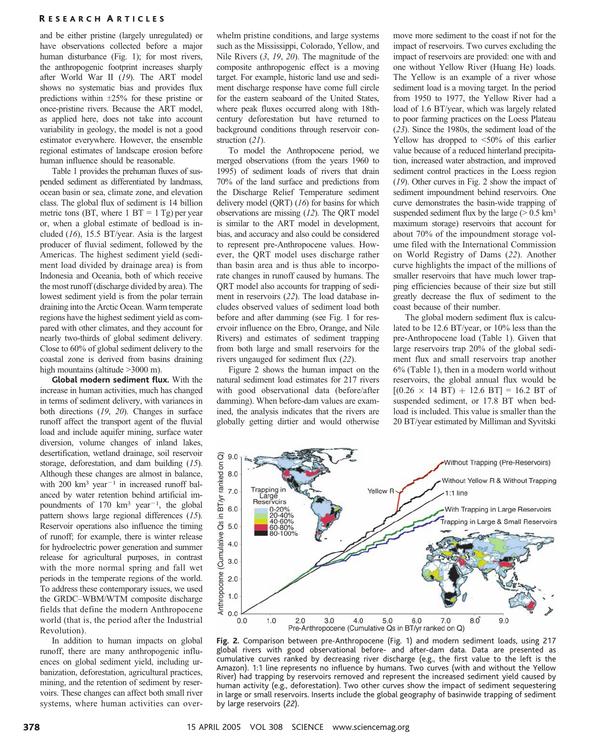#### R ESEARCH A RTICLES

and be either pristine (largely unregulated) or have observations collected before a major human disturbance (Fig. 1); for most rivers, the anthropogenic footprint increases sharply after World War II (19). The ART model shows no systematic bias and provides flux predictions within  $\pm 25\%$  for these pristine or once-pristine rivers. Because the ART model, as applied here, does not take into account variability in geology, the model is not a good estimator everywhere. However, the ensemble regional estimates of landscape erosion before human influence should be reasonable.

Table 1 provides the prehuman fluxes of suspended sediment as differentiated by landmass, ocean basin or sea, climate zone, and elevation class. The global flux of sediment is 14 billion metric tons (BT, where  $1 \text{ BT} = 1 \text{ Tg}$ ) per year or, when a global estimate of bedload is included (16), 15.5 BT/year. Asia is the largest producer of fluvial sediment, followed by the Americas. The highest sediment yield (sediment load divided by drainage area) is from Indonesia and Oceania, both of which receive the most runoff (discharge divided by area). The lowest sediment yield is from the polar terrain draining into the Arctic Ocean. Warm temperate regions have the highest sediment yield as compared with other climates, and they account for nearly two-thirds of global sediment delivery. Close to 60% of global sediment delivery to the coastal zone is derived from basins draining high mountains (altitude  $>3000$  m).

Global modern sediment flux. With the increase in human activities, much has changed in terms of sediment delivery, with variances in both directions (19, 20). Changes in surface runoff affect the transport agent of the fluvial load and include aquifer mining, surface water diversion, volume changes of inland lakes, desertification, wetland drainage, soil reservoir storage, deforestation, and dam building (15). Although these changes are almost in balance, with 200  $km^3$  year<sup>-1</sup> in increased runoff balanced by water retention behind artificial impoundments of  $170 \text{ km}^3 \text{ year}^{-1}$ , the global pattern shows large regional differences (15). Reservoir operations also influence the timing of runoff; for example, there is winter release for hydroelectric power generation and summer release for agricultural purposes, in contrast with the more normal spring and fall wet periods in the temperate regions of the world. To address these contemporary issues, we used the GRDC–WBM/WTM composite discharge fields that define the modern Anthropocene world (that is, the period after the Industrial Revolution).

In addition to human impacts on global runoff, there are many anthropogenic influences on global sediment yield, including urbanization, deforestation, agricultural practices, mining, and the retention of sediment by reservoirs. These changes can affect both small river systems, where human activities can overwhelm pristine conditions, and large systems such as the Mississippi, Colorado, Yellow, and Nile Rivers (3, 19, 20). The magnitude of the composite anthropogenic effect is a moving target. For example, historic land use and sediment discharge response have come full circle for the eastern seaboard of the United States, where peak fluxes occurred along with 18thcentury deforestation but have returned to background conditions through reservoir construction (21).

To model the Anthropocene period, we merged observations (from the years 1960 to 1995) of sediment loads of rivers that drain 70% of the land surface and predictions from the Discharge Relief Temperature sediment delivery model  $(QRT)$  (16) for basins for which observations are missing (12). The QRT model is similar to the ART model in development, bias, and accuracy and also could be considered to represent pre-Anthropocene values. However, the QRT model uses discharge rather than basin area and is thus able to incorporate changes in runoff caused by humans. The QRT model also accounts for trapping of sediment in reservoirs (22). The load database includes observed values of sediment load both before and after damming (see Fig. 1 for reservoir influence on the Ebro, Orange, and Nile Rivers) and estimates of sediment trapping from both large and small reservoirs for the rivers ungauged for sediment flux (22).

Figure 2 shows the human impact on the natural sediment load estimates for 217 rivers with good observational data (before/after damming). When before-dam values are examined, the analysis indicates that the rivers are globally getting dirtier and would otherwise

move more sediment to the coast if not for the impact of reservoirs. Two curves excluding the impact of reservoirs are provided: one with and one without Yellow River (Huang He) loads. The Yellow is an example of a river whose sediment load is a moving target. In the period from 1950 to 1977, the Yellow River had a load of 1.6 BT/year, which was largely related to poor farming practices on the Loess Plateau (23). Since the 1980s, the sediment load of the Yellow has dropped to  $\leq 50\%$  of this earlier value because of a reduced hinterland precipitation, increased water abstraction, and improved sediment control practices in the Loess region (19). Other curves in Fig. 2 show the impact of sediment impoundment behind reservoirs. One curve demonstrates the basin-wide trapping of suspended sediment flux by the large ( $> 0.5$  km<sup>3</sup> maximum storage) reservoirs that account for about 70% of the impoundment storage volume filed with the International Commission on World Registry of Dams (22). Another curve highlights the impact of the millions of smaller reservoirs that have much lower trapping efficiencies because of their size but still greatly decrease the flux of sediment to the coast because of their number.

The global modern sediment flux is calculated to be 12.6 BT/year, or 10% less than the pre-Anthropocene load (Table 1). Given that large reservoirs trap 20% of the global sediment flux and small reservoirs trap another 6% (Table 1), then in a modern world without reservoirs, the global annual flux would be  $[(0.26 \times 14 \text{ BT}) + 12.6 \text{ BT}] = 16.2 \text{ BT}$  of suspended sediment, or 17.8 BT when bedload is included. This value is smaller than the 20 BT/year estimated by Milliman and Syvitski



Fig. 2. Comparison between pre-Anthropocene (Fig. 1) and modern sediment loads, using 217 global rivers with good observational before- and after-dam data. Data are presented as cumulative curves ranked by decreasing river discharge (e.g., the first value to the left is the Amazon). 1:1 line represents no influence by humans. Two curves (with and without the Yellow River) had trapping by reservoirs removed and represent the increased sediment yield caused by human activity (e.g., deforestation). Two other curves show the impact of sediment sequestering in large or small reservoirs. Inserts include the global geography of basinwide trapping of sediment by large reservoirs (22).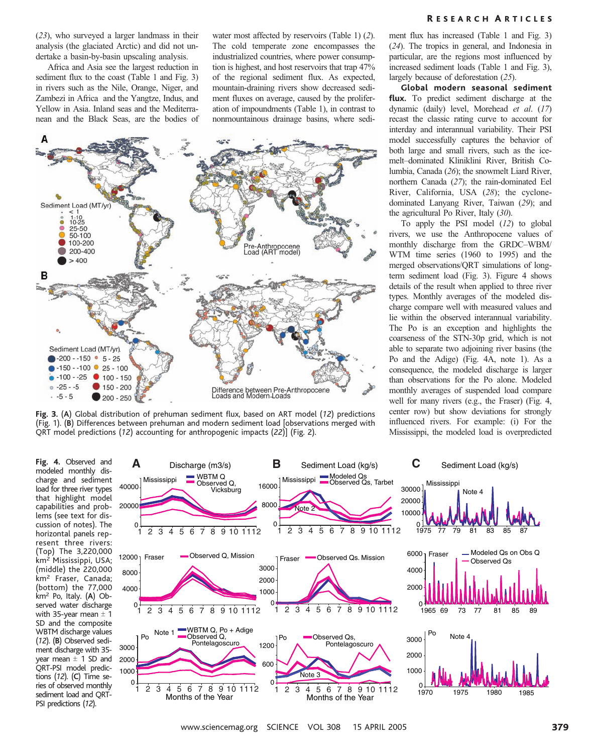(23), who surveyed a larger landmass in their analysis (the glaciated Arctic) and did not undertake a basin-by-basin upscaling analysis.

Africa and Asia see the largest reduction in sediment flux to the coast (Table 1 and Fig. 3) in rivers such as the Nile, Orange, Niger, and Zambezi in Africa and the Yangtze, Indus, and Yellow in Asia. Inland seas and the Mediterranean and the Black Seas, are the bodies of water most affected by reservoirs (Table 1) (2). The cold temperate zone encompasses the industrialized countries, where power consumption is highest, and host reservoirs that trap 47% of the regional sediment flux. As expected, mountain-draining rivers show decreased sediment fluxes on average, caused by the proliferation of impoundments (Table 1), in contrast to nonmountainous drainage basins, where sedi-



Fig. 3. (A) Global distribution of prehuman sediment flux, based on ART model (12) predictions (Fig. 1). (B) Differences between prehuman and modern sediment load [observations merged with QRT model predictions (12) accounting for anthropogenic impacts (22)] (Fig. 2).

ment flux has increased (Table 1 and Fig. 3) (24). The tropics in general, and Indonesia in particular, are the regions most influenced by increased sediment loads (Table 1 and Fig. 3), largely because of deforestation (25).

Global modern seasonal sediment flux. To predict sediment discharge at the dynamic (daily) level, Morehead et al. (17) recast the classic rating curve to account for interday and interannual variability. Their PSI model successfully captures the behavior of both large and small rivers, such as the icemelt–dominated Kliniklini River, British Columbia, Canada (26); the snowmelt Liard River, northern Canada (27); the rain-dominated Eel River, California, USA (28); the cyclonedominated Lanyang River, Taiwan (29); and the agricultural Po River, Italy (30).

To apply the PSI model  $(12)$  to global rivers, we use the Anthropocene values of monthly discharge from the GRDC–WBM/ WTM time series (1960 to 1995) and the merged observations/QRT simulations of longterm sediment load (Fig. 3). Figure 4 shows details of the result when applied to three river types. Monthly averages of the modeled discharge compare well with measured values and lie within the observed interannual variability. The Po is an exception and highlights the coarseness of the STN-30p grid, which is not able to separate two adjoining river basins (the Po and the Adige) (Fig. 4A, note 1). As a consequence, the modeled discharge is larger than observations for the Po alone. Modeled monthly averages of suspended load compare well for many rivers (e.g., the Fraser) (Fig. 4, center row) but show deviations for strongly influenced rivers. For example: (i) For the Mississippi, the modeled load is overpredicted

Fig. 4. Observed and modeled monthly discharge and sediment load for three river types that highlight model capabilities and problems (see text for discussion of notes). The horizontal panels represent three rivers: (Top) The 3,220,000 km<sup>2</sup> Mississippi, USA; (middle) the 220,000 km<sup>2</sup> Fraser, Canada; (bottom) the 77,000 km2 Po, Italy. (A) Observed water discharge with 35-year mean  $\pm$  1 SD and the composite WBTM discharge values (12). (B) Observed sediment discharge with 35 year mean  $\pm$  1 SD and QRT-PSI model predictions (12). (C) Time series of observed monthly sediment load and QRT-PSI predictions (12).